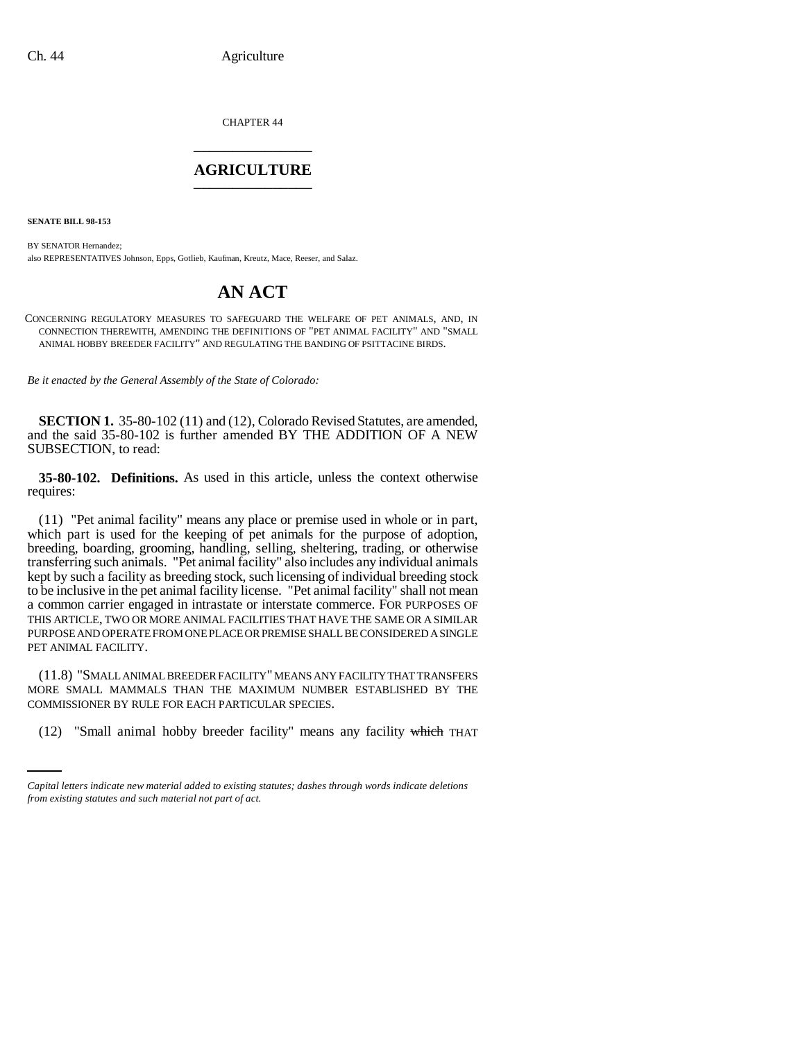CHAPTER 44 \_\_\_\_\_\_\_\_\_\_\_\_\_\_\_

## **AGRICULTURE** \_\_\_\_\_\_\_\_\_\_\_\_\_\_\_

**SENATE BILL 98-153**

BY SENATOR Hernandez; also REPRESENTATIVES Johnson, Epps, Gotlieb, Kaufman, Kreutz, Mace, Reeser, and Salaz.

## **AN ACT**

CONCERNING REGULATORY MEASURES TO SAFEGUARD THE WELFARE OF PET ANIMALS, AND, IN CONNECTION THEREWITH, AMENDING THE DEFINITIONS OF "PET ANIMAL FACILITY" AND "SMALL ANIMAL HOBBY BREEDER FACILITY" AND REGULATING THE BANDING OF PSITTACINE BIRDS.

*Be it enacted by the General Assembly of the State of Colorado:*

**SECTION 1.** 35-80-102 (11) and (12), Colorado Revised Statutes, are amended, and the said 35-80-102 is further amended BY THE ADDITION OF A NEW SUBSECTION, to read:

**35-80-102. Definitions.** As used in this article, unless the context otherwise requires:

(11) "Pet animal facility" means any place or premise used in whole or in part, which part is used for the keeping of pet animals for the purpose of adoption, breeding, boarding, grooming, handling, selling, sheltering, trading, or otherwise transferring such animals. "Pet animal facility" also includes any individual animals kept by such a facility as breeding stock, such licensing of individual breeding stock to be inclusive in the pet animal facility license. "Pet animal facility" shall not mean a common carrier engaged in intrastate or interstate commerce. FOR PURPOSES OF THIS ARTICLE, TWO OR MORE ANIMAL FACILITIES THAT HAVE THE SAME OR A SIMILAR PURPOSE AND OPERATE FROM ONE PLACE OR PREMISE SHALL BE CONSIDERED A SINGLE PET ANIMAL FACILITY.

COMMISSIONER BY RULE FOR EACH PARTICULAR SPECIES. (11.8) "SMALL ANIMAL BREEDER FACILITY" MEANS ANY FACILITY THAT TRANSFERS MORE SMALL MAMMALS THAN THE MAXIMUM NUMBER ESTABLISHED BY THE

(12) "Small animal hobby breeder facility" means any facility which THAT

*Capital letters indicate new material added to existing statutes; dashes through words indicate deletions from existing statutes and such material not part of act.*